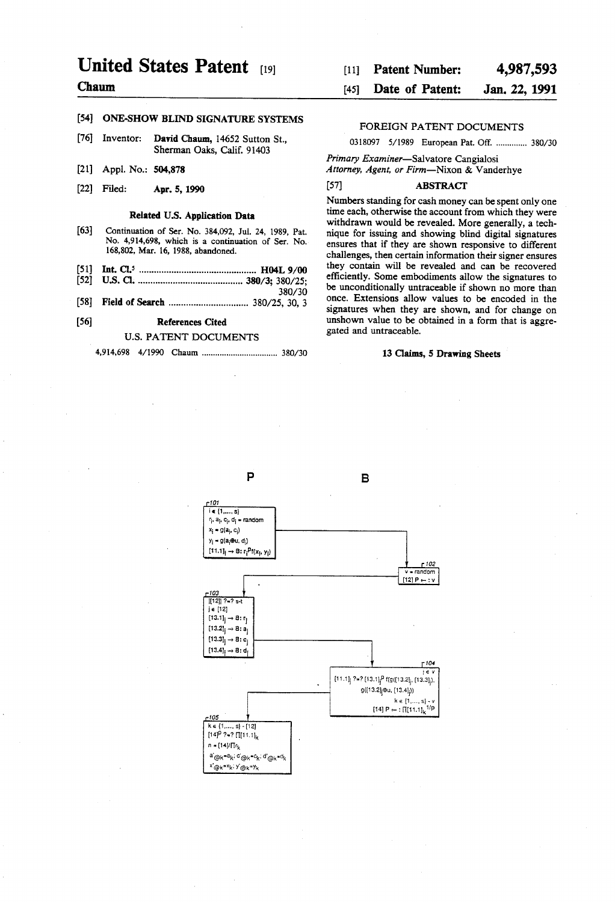# United States Patent [19]

# Chaum

# [54] ONE-SHOW BLIND SIGNATURE SYSTEMS

- [76] Inventor: David Chaum, 14652 Sutton St., Sherman Oaks, Calif. 91403
- [21] Appl. No.: 504,878
- [22] Filed: Apr. 5, 1990

### Related US. Application Data

- [63] Continuation of Ser. No. 384,092, Jul. 24, 1989, Pat. No. 4,914,698, which is a continuation of Ser. No. 168,802, Mar. 16, 1988, abandoned.
- 
- 
- 

### U.S. PATENT DOCUMENTS

4,914,698 4/1990 Chaum ................................ .. 380/30 13 Claims, 5 Drawing Sheets

### [11] Patent Number: 4,987,593

#### [45] **Date of Patent:** Jan. 22, 1991

### FOREIGN PATENT DOCUMENTS

0318097 5/1989 European Pat. Off. .............. 380/30

Primary Examiner-Salvatore Cangialosi

Attorney, Agent, or Firm-Nixon & Vanderhye

#### [57] ABSTRACT

Numbers standing for cash money can be spent only one time each, otherwise the account from which they were withdrawn would be revealed. More generally, a technique for issuing and showing blind digital signatures ensures that if they are shown responsive to different challenges, then certain information their signer ensures<br>they contain will be revealed and can be recovered s they contain will be revealed and can be recovered ......................................... efficiently. some embodiments allow the Signatures to  $.380/30$  be unconditionally untraceable if shown no more than [58] Field of Search  $\frac{380}{25}$  380/25, 30, 3 once. Extensions allow values to be encoded in the signatures when they are shown, and for change on [56] References Cited unshown value to be obtained in a form that is aggregated and untraceable.

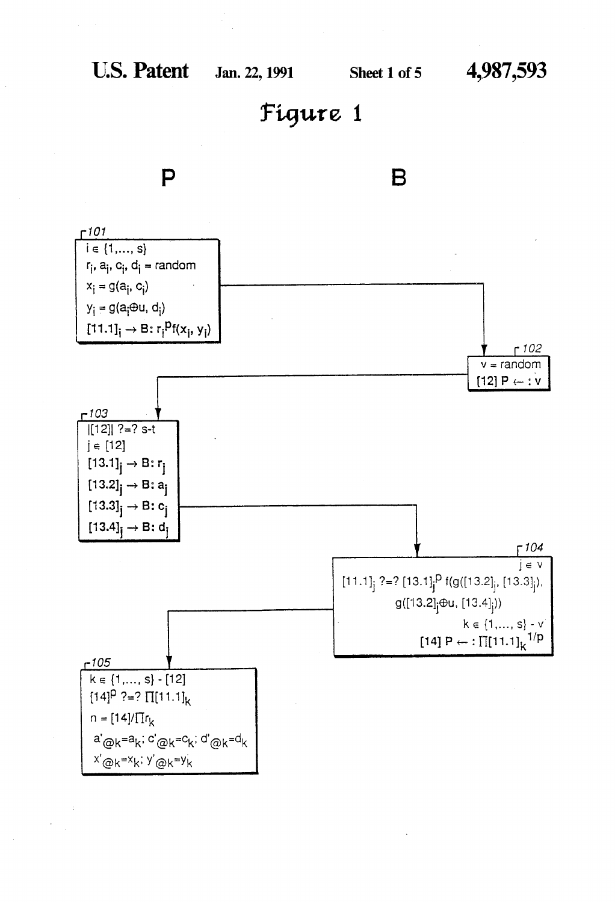# P



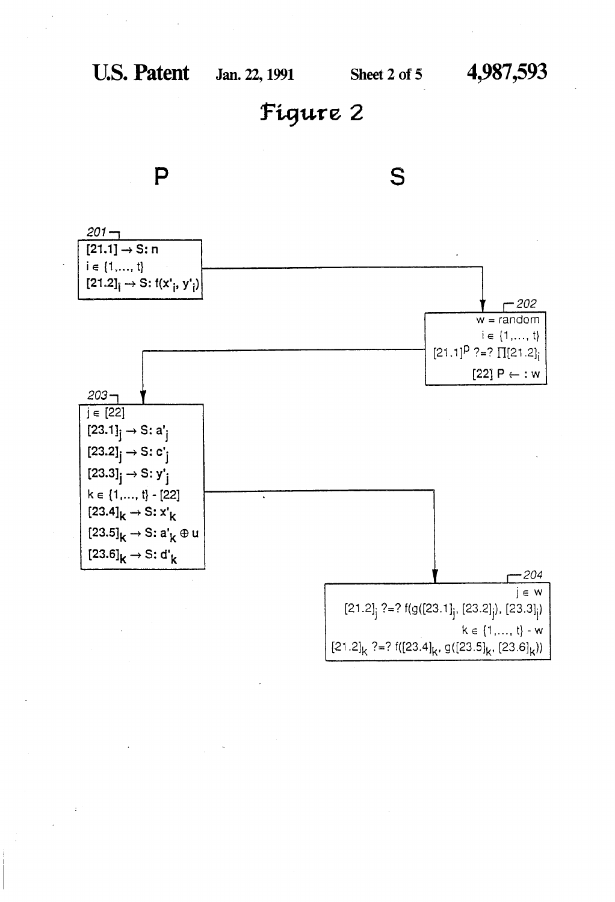

S

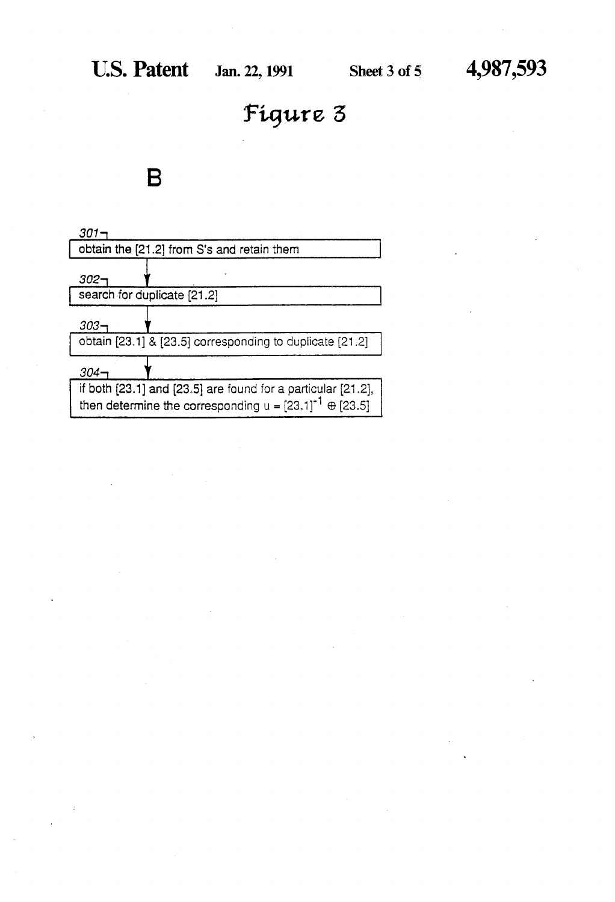# $\blacksquare$

| 301·                                                                |
|---------------------------------------------------------------------|
| obtain the [21.2] from S's and retain them                          |
| 302–                                                                |
| search for duplicate [21.2]                                         |
| 303–                                                                |
| obtain [23.1] & [23.5] corresponding to duplicate [21.2]            |
| 304-r                                                               |
| if both $[23.1]$ and $[23.5]$ are found for a particular $[21.2]$ , |
| then determine the corresponding $u = [23.1]^{-1} \oplus [23.5]$    |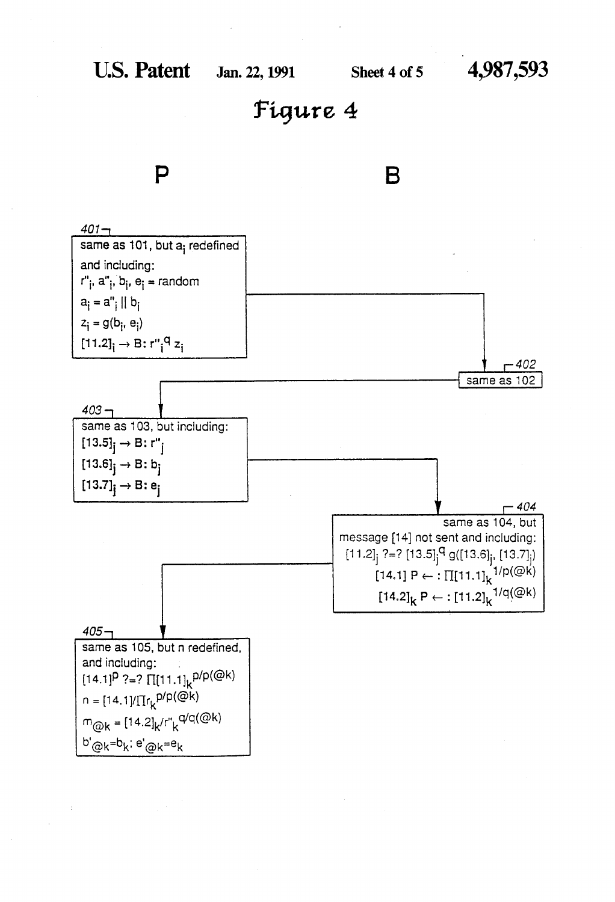



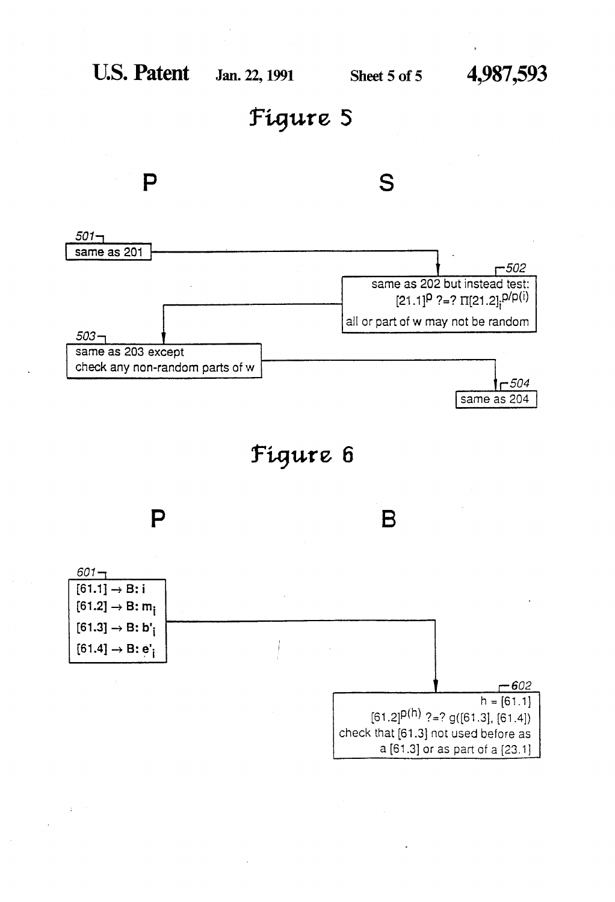

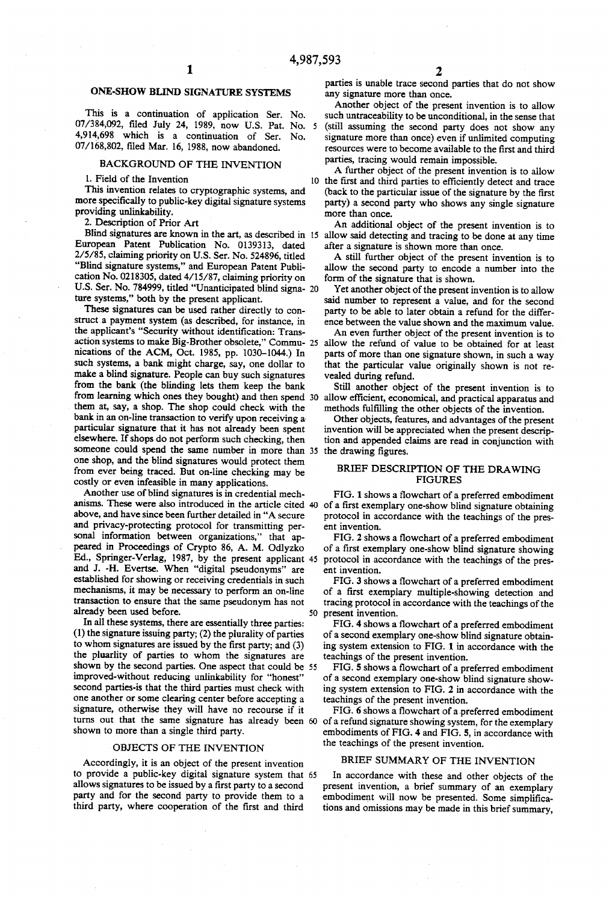# ONE-SHOW BLIND SIGNATURE SYSTEMS

This is a continuation of application Ser. No. 07/384,092, filed July 24, 1989, now U.S. Pat. No. 5 4,914,698 which is a continuation of Ser. No. 07/168,802, filed Mar. 16, 1988, now abandoned.

# BACKGROUND OF THE INVENTION

1. Field of the Invention

This invention relates to cryptographic systems, and more specifically to public-key digital signature systems providing unlinkability.

2. Description of Prior Art

European Patent Publication No. 0139313, dated 2/5/85, claiming priority on US. Ser. No. 524896, titled "Blind signature systems," and European Patent Publi cation No. 0218305, dated 4/15/87, claiming priority on U.S. Ser. No. 784999, titled "Unanticipated blind signa- 20 ture systems," both by the present applicant.

These signatures can be used rather directly to con struct a payment system (as described, for instance, in the applicant's "Security without identification: Transnications of the ACM, Oct. 1985, pp. 1030-1044.) In such systems, a bank might charge, say, one dollar to make a blind signature. People can buy such signatures from the bank (the blinding lets them keep the bank from learning which ones they bought) and then spend 30 them at, say, a shop. The shop could check with the bank in an on-line transaction to verify upon receiving a particular signature that it has not already been spent elsewhere. If shops do not perform such checking, then someone could spend the same number in more than 35 the drawing figures. one shop, and the blind signatures would protect them from ever being traced. But on-line checking may be costly or even infeasible in many applications.

Another use of blind signatures is in credential mech anisms. These were also introduced in the article cited 40 of a first exemplary one-show blind signature obtaining above, and have since been further detailed in "A secure and privacy-protecting protocol for transmitting per sonal information between organizations," that appeared in Proceedings of Crypto 86, A. M. Odlyzko Ed., Springer-Verlag, 1987, by the present applicant 45 and J. -H. Evertse. When "digital pseudonyms" are established for showing or receiving credentials in such mechanisms, it may be necessary to perform an on-line transaction to ensure that the same pseudonym has not already been used before.

In all these systems, there are essentially three parties: (1) the signature issuing party; (2) the plurality of parties to whom signatures are issued by the first party; and  $(3)$ the pluarlity of parties to whom the signatures are shown by the second parties. One aspect that could be 55 improved-without reducing unlinkability for "honest" second parties-is that the third parties must check with one another or some clearing center before accepting a signature, otherwise they will have no recourse if it turns out that the same signature has already been 60 of a refund signature showing system, for the exemplary shown to more than a single third party.

#### OBJECTS OF THE INVENTION

Accordingly, it is an object of the present invention to provide a public-key digital signature system that 65 allows signatures to be issued by a first party to a second party and for the second party to provide them to a third party, where cooperation of the first and third

parties is unable trace second parties that do not show any signature more than once.

Another object of the present invention is to allow such untraceability to be unconditional, in the sense that (still assuming the second party does not show any signature more than once) even if unlimited computing resources were to become available to the first and third parties, tracing would remain impossible.

A further object of the present invention is to allow 10 the first and third parties to efficiently detect and trace (back to the particular issue of the signature by the first party) a second party who shows any single signature more than once.

Blind signatures are known in the art, as described in 15 allow said detecting and tracing to be done at any time An additional object of the present invention is to after a signature is shown more than once.

> A still further object of the present invention is to allow the second party to encode a number into the form of the signature that is shown.

> Yet another object of the present invention is to allow said number to represent a value, and for the second party to be able to later obtain a refund for the differ ence between the value shown and the maximum value.

action systems to make Big-Brother obsolete," Commu- 25 allow the refund of value to be obtained for at least An even further object of the present invention is to parts of more than one signature shown, in such a way that the particular value originally shown is not revealed during refund.

> Still another object of the present invention is to allow efficient, economical, and practical apparatus and methods fulfilling the other objects of the invention.

> Other objects, features, and advantages of the present invention will be appreciated when the present descrip tion and appended claims are read in conjunction with

### BRIEF DESCRIPTION OF THE DRAWING **FIGURES**

FIG. 1 shows a flowchart of a preferred embodiment protocol in accordance with the teachings of the pres ent invention.

FIG. 2 shows a flowchart of a preferred embodiment of a first exemplary one-show blind signature showing protocol in accordance with the teachings of the pres ent invention.

FIG. 3 shows a flowchart of a preferred embodiment of a first exemplary multiple-showing detection and tracing protocol in accordance with the teachings of the 50 present invention.

FIG. 4 shows a flowchart of a preferred embodiment of a second exemplary one-show blind signature obtain ing system extension to FIG. 1 in accordance with the teachings of the present invention.

FIG. 5 shows a flowchart of a preferred embodiment of a second exemplary one-show blind signature show ing system extension to FIG. 2 in accordance with the teachings of the present invention.

FIG. 6 shows a flowchart of a preferred embodiment embodiments of FIG. 4 and FIG. 5, in accordance with the teachings of the present invention.

## BRIEF SUMMARY OF THE INVENTION

In accordance with these and other objects of the present invention, a brief summary of an exemplary embodiment will now be presented. Some simplifications and omissions may be made in this brief summary,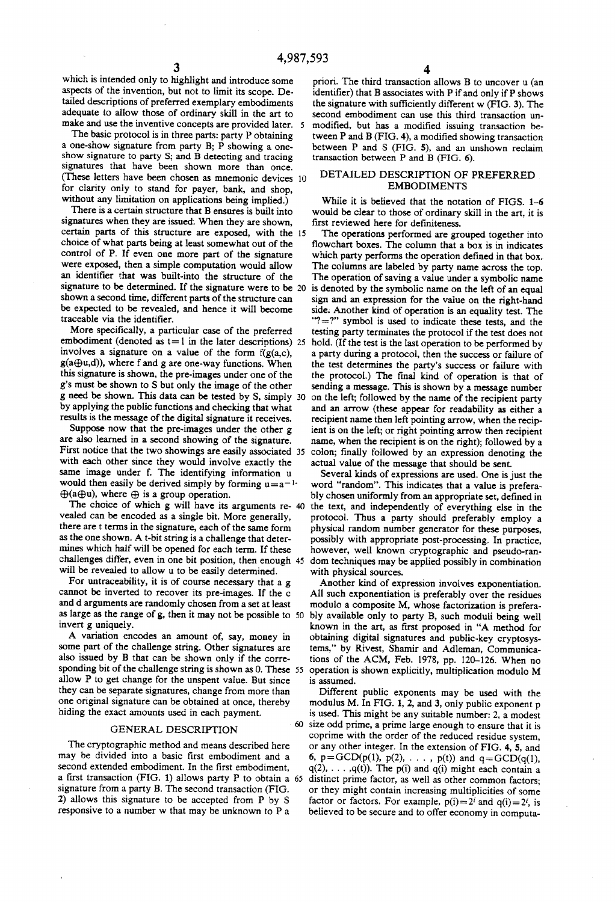which is intended only to highlight and introduce some aspects of the invention, but not to limit its scope. De tailed descriptions of preferred exemplary embodiments adequate to allow those of ordinary skill in the art to make and use the inventive concepts are provided later. 5

The basic protocol is in three parts: party P obtaining a one-show signature from party B; P showing a one show signature to party S; and B detecting and tracing signatures that have been shown more than once. (These letters have been chosen as mnemonic devices 10 for clarity only to stand for payer, bank, and shop, without any limitation on applications being implied.)

There is a certain structure that B ensures is built into signatures when they are issued; When they are shown, certain parts of this structure are exposed, with the choice of what parts being at least somewhat out of the control of P. If even one more part of the signature were exposed, then a simple computation would allow an identifier that was built-into the structure of the signature to be determined. If the signature were to be 20 shown a second time, different parts of the structure can be expected to be revealed, and hence it will become traceable via the identifier.

More specifically, a particular case of the preferred embodiment (denoted as  $t=1$  in the later descriptions) 25 involves a signature on a value of the form  $f(g(a,c))$ ,  $g(a \bigoplus u, d)$ ), where f and g are one-way functions. When this signature is shown, the pre-images under one of the g's must be shown to S but only the image of the other g need be shown. This data can be tested by S, simply 30 by applying the public functions and checking that what results is the message of the digital signature it receives.

Suppose now that the pre-images under the other g are also learned in a second showing of the signature. First notice that the two showings are easily associated 35 with each other since they would involve exactly the same image under f. The identifying information u would then easily be derived simply by forming  $u=a^{-1}$ .  $\bigoplus$ (a $\bigoplus$ u), where  $\bigoplus$  is a group operation.

The choice of which g will have its arguments re- 40 vealed can be encoded as a single bit. More generally, there are t terms in the signature, each of the same form as the one shown. A t-bit string is a challenge that deter mines which half will be opened for each term. If these challenges differ, even in one bit position, then enough 45 will be revealed to allow u to be easily determined.

For untraceability, it is of course necessary that a g cannot be inverted to recover its pre-images. If the c and d arguments are randomly chosen from a set at least as large as the range of g, then it may not be possible to 50 invert g uniquely.

A variation encodes an amount of, say, money in some part of the challenge string. Other signatures are also issued by B that can be shown only if the corre sponding bit of the challenge string is shown as 0. These 55 allow P to get change for the unspent value. But since they can be separate signatures, change from more than one original signature can be obtained at once, thereby hiding the exact amounts used in each payment.

#### GENERAL DESCRIPTION

The cryptographic method and means described here may be divided into a basic first embodiment and a second extended embodiment. In the first embodiment, a first transaction (FIG. 1) allows party P to obtain a 65 signature from a party B. The second transaction (FIG. 2) allows this signature to be accepted from P by S responsive to a number w that may be unknown to P a

priori. The third transaction allows B to uncover u (an identifier) that B associates with P if and only if P shows the signature with sufficiently different w (FIG. 3). The second embodiment can use this third transaction un modified, but has a modified issuing transaction between  $P$  and  $B$  (FIG. 4), a modified showing transaction between P and S (FIG. 5), and an unshown reclaim transaction between P and B (FIG. 6).

## DETAILED DESCRIPTION OF PREFERRED EMBODIMENTS

While it is believed that the notation of FIGS. 1-6 would be clear to those of ordinary skill in the art, it is first reviewed here for definiteness.

The operations performed are grouped together into flowchart boxes. The column that a box is in indicates which party performs the operation defined in that box. The columns are labeled by party name across the top. The operation of saving a value under a symbolic name is denoted by the symbolic name on the left of an equal sign and an expression for the value on the right-hand side. Another kind of operation is an equality test. The "7:?" symbol is used to indicate these tests, and the testing party terminates the protocol if the test does not hold. (If the test is the last operation to be performed by a party during a protocol, then the success or failure of the test determines the party's success or failure with the protocol.) The final kind of operation is that of sending a message. This is shown by a message number on the left; followed by the name of the recipient party and an arrow (these appear for readability as either a recipient name then left pointing arrow, when the recip ient is on the left; or right pointing arrow then recipient name, when the recipient is on the right); followed by a colon; finally followed by an expression denoting the actual value of the message that should be sent.

Several kinds of expressions are used. One is just the word "random". This indicates that a value is prefera bly chosen uniformly from an appropriate set, defined in the text, and independently of everything else in the protocol. Thus a party should preferably employ a physical random number generator for these purposes, possibly with appropriate post-processing. In practice, however, well known cryptographic and pseudo-ran dom techniques may be applied possibly in combination with physical sources.

Another kind of expression involves exponentiation. All such exponentiation is preferably over the residues modulo a composite M, whose factorization is prefera bly available only to party B, such moduli being well known in the art, as first proposed in "A method for obtaining digital signatures and public-key cryptosys terns," by Rivest, Shamir and Adleman, Communica tions of the ACM, Feb. 1978, pp. 120-126. When no operation is shown explicitly, multiplication modulo M is assumed.

Different public exponents may be used with the modulus M. In FIG. 1, 2, and 3, only public exponent p is used. This might be any suitable number: 2, a modest size odd prime, a prime large enough to ensure that it is coprime with the order of the reduced residue system, or any other integer. In the extension of FIG. 4, 5, and 6,  $p = GCD(p(1), p(2), \ldots, p(t))$  and  $q = GCD(q(1),$  $q(2), \ldots, q(t)$ . The p(i) and  $q(i)$  might each contain a distinct prime factor, as well as other common factors; or they might contain increasing multiplicities of some factor or factors. For example,  $p(i)=2^i$  and  $q(i)=2^i$ , is believed to be secure and to offer economy in computa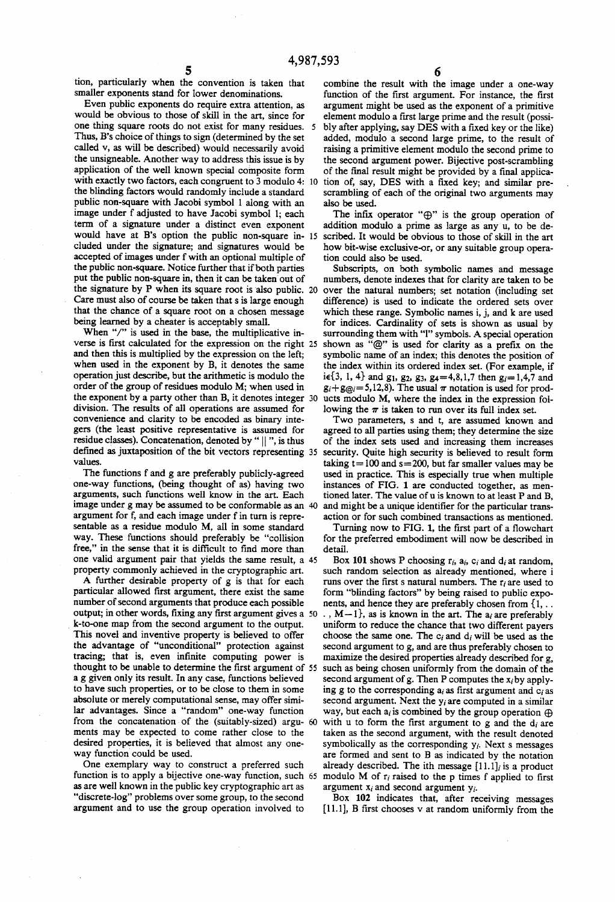tion, particularly when the convention is taken that smaller exponents stand for lower denominations.<br>Even public exponents do require extra attention, as

would be obvious to those of skill in the art, since for one thing square roots do not exist for many residues. Thus, B's choice of things to sign (determined by the set called v, as will be described) would necessarily avoid the unsigneable. Another way to address this issue is by application of the well known special composite form with exactly two factors, each congruent to 3 modulo 4: 10 tion of, say, DES with a fixed key; and similar prethe blinding factors would randomly include a standard public non-square with Jacobi symbol 1 along with an image under f adjusted to have Jacobi symbol 1; each term of a signature under a distinct even exponent would have at B's option the public non-square in-15 scribed. It would be obvious to those of skill in the art cluded under the signature; and signatures would be accepted of images under f with an optional multiple of the public non-square. Notice further that if both parties put the public non-square in, then it can be taken'out of the signature by P when its square root is also public. 20 Care must also of course be taken that s is large enough that the chance of a square root on a chosen message being learned by a cheater is acceptably small.

When "/" is used in the base, the multiplicative inverse is first calculated for the expression on the right  $25$ and then this is multiplied by the expression on the left; when used in the exponent by B, it denotes the same operation just describe, but the arithmetic is modulo the order of the group of residues modulo M; when used in the exponent by a party other than B, it denotes integer division. The results of all operations are assumed for convenience and clarity to be encoded as binary inte gers (the least positive representative is assumed for residue classes). Concatenation, denoted by " || ", is thus defined as juxtaposition of the bit vectors representing 35 values.

The functions f and g are preferably publicly-agreed one-way functions, (being thought of as) having two arguments, such functions well know in the art. Each image under g may be assumed to be conformable as an 40 argument for f, and each image under f in turn is repre sentable as a residue modulo M, all in some standard way. These functions should preferably be "collision free," in the sense that it is difficult to find more than one valid argument pair that yields the same result, a 45 property commonly achieved in the cryptographic art.

A further desirable property of g is that for each particular allowed first argument, there exist the same number of second arguments that produce each possible k-to-one map from the second argument to the output. This novel and inventive property is believed to offer the advantage of "unconditional" protection against tracing; that is, even infinite computing power is thought to be unable to determine the first argument of 55 a g given only its result. In any case, functions believed to have such properties, or to be close to them in some absolute or merely computational sense, may offer simi lar advantages. Since a "random" one-way function from the concatenation of the (suitably-sized) argu- 60 ments may be expected to come rather close to the desired properties, it is believed that almost any one way function could be used. output; in other words, fixing any first argument gives a 50

One exemplary way to construct a preferred such function is to apply a bijective one-way function, such 65 as are well known in the public key cryptographic art as "discrete-log" problems over some group, to the second argument and to use the group operation involved to

combine the result with the image under a one-way function of the first argument. For instance, the first argument might be used as the exponent of a primitive element modulo a first large prime and the result (possibly after applying, say DES with a fixed key or the like) added, modulo a second large prime, to the result of raising a primitive element modulo the second prime to the second argument power. Bijective post-scrambling of the final result might be provided by a final applicascrambling of each of the original two arguments may also be used.

The infix operator " $\bigoplus$ " is the group operation of addition modulo a prime as large as any u, to be de how bit-wise exclusive-or, or any suitable group opera tion could also be used.

Subscripts, on both symbolic names and message numbers, denote indexes that for clarity are taken to be over the natural numbers; set notation (including set difference) is used to indicate the ordered sets over which these range. Symbolic names i, j, and k are used for indices. Cardinality of sets is shown as usual by surrounding them with "1" symbols. A special operation shown as "@" is used for clarity as a prefix on the symbolic name of an index; this denotes the position of the index within its ordered index set. (For example, if ie{3, 1, 4} and g<sub>1</sub>, g<sub>2</sub>, g<sub>3</sub>, g<sub>4</sub>=4,8,1,7 then g<sub>i</sub>=1,4,7 and  $g_i+g_{\omega_i}=5,12,8$ . The usual  $\pi$  notation is used for products modulo M, where the index in the expression fol lowing the  $\pi$  is taken to run over its full index set.

Two parameters, s and t, are assumed known and agreed to all parties using them; they determine the size of the index sets used and increasing them increases security. Quite high security is believed to result form taking  $t = 100$  and  $s = 200$ , but far smaller values may be used in practice. This is especially true when multiple instances of FIG. 1 are conducted together, as men tioned later. The value of u is known to at least P and B, and might be a unique identifier for the particular transaction or for such combined transactions as mentioned.

Turning now to FIG. 1, the first part of a flowchart for the preferred embodiment will now be described in detail.

Box 101 shows P choosing  $r_i$ ,  $a_i$ ,  $c_i$  and  $d_i$  at random, such random selection as already mentioned, where i runs over the first s natural numbers. The  $r_i$  are used to form "blinding factors" by being raised to public expo nents, and hence they are preferably chosen from {1, . .  $\ldots$ , M - 1, as is known in the art. The  $a_i$  are preferably uniform to reduce the chance that two different payers choose the same one. The  $c_i$  and  $d_i$  will be used as the second argument to g, and are thus preferably chosen to maximize the desired properties already described for g, such as being chosen uniformly from the domain of the second argument of g. Then P computes the  $x_i$  by applying g to the corresponding  $a_i$  as first argument and  $c_i$  as second argument. Next the  $y_i$  are computed in a similar way, but each  $a_i$  is combined by the group operation  $\oplus$ with u to form the first argument to g and the  $d_i$  are taken as the second argument, with the result denoted symbolically as the corresponding  $y_i$ . Next s messages are formed and sent to B as indicated by the notation already described. The ith message  $[11.1]_i$  is a product modulo M of  $r_i$ -raised to the p times f applied to first argument  $x_i$  and second argument  $y_i$ .

Box 102 indicates that, after receiving messages  $[11.1]$ , B first chooses v at random uniformly from the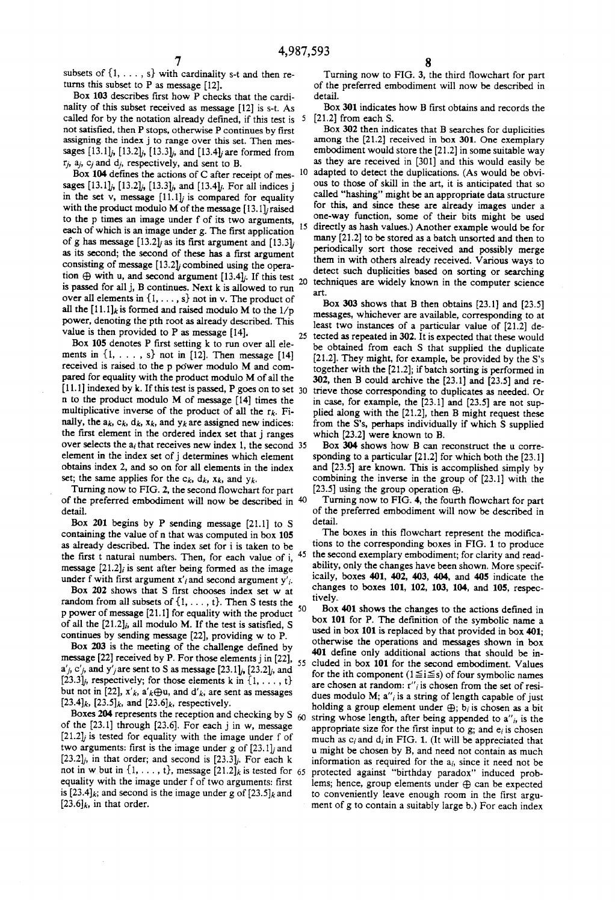5

subsets of  $\{1, \ldots, s\}$  with cardinality s-t and then returns this subset to P as message [12].

Box 103 describes first how P checks that the cardinality of this subset received as message [12] is s-t. As called for by the notation already defined, if this test is not satisfied, then P stops, otherwise P continues by first assigning. the index j to range over this set. Then mes sages  $[13.1]_j$ ,  $[13.2]_j$ ,  $[13.3]_j$ , and  $[13.4]_j$  are formed from  $r_i$ ,  $a_i$ ,  $c_i$  and  $d_i$ , respectively, and sent to B.

Box 104 defines the actions of C after receipt of messages  $[13.1]$ ,  $[13.2]$ ,  $[13.3]$ , and  $[13.4]$ . For all indices i in the set v, message  $[11.1]_i$  is compared for equality with the product modulo M of the message  $[13.1]$ *j* raised to the p times an image under f of its two arguments, 15 each of which is an image under g. The first application of g has message [13.2]*j* as its first argument and [13.3]*j* as its second; the second of these has a first argument consisting of message  $[13.2]$ ; combined using the operation  $\oplus$  with u, and second argument [13.4],. If this test is passed for all j, E continues. Next k is allowed to run over all elements in  $\{1, \ldots, s\}$  not in v. The product of all the  $[11.1]_k$  is formed and raised modulo M to the  $1/p$ power, denoting the'pth root as already described. This value is then provided to P as message [14].

Box 105 denotes  $P$  first setting  $k$  to run over all elements in  $\{1, \ldots, s\}$  not in [12]. Then message [14] received is raised to the p power modulo M and compared for equality with the product modulo M of all the [11.1] indexed by k. If this test is passed, P goes on to set  $30$ n to the product modulo M of message [14] times the multiplicative inverse of the product of all the  $r_k$ . Finally, the  $a_k$ ,  $c_k$ ,  $d_k$ ,  $x_k$ , and  $y_k$  are assigned new indices: the first element in the ordered index set that j ranges over selects the  $a_i$  that receives new index 1, the second 35 element in the index set of j determines which element obtains index 2, and so on for all elements in the index set; the same applies for the  $c_k$ ,  $d_k$ ,  $x_k$ , and  $y_k$ .

Turning now to FIG. 2, the second flowchart for part of the preferred embodiment will now be described in detail.

Box 201 begins by P sending message [21.1] to S containing the value of n that was computed in box 105 as already described. The index set for i is taken to be the first t natural numbers. Then, for each value of i,  $45$ message  $[21.2]$  is sent after being formed as the image under f with first argument  $x'_i$  and second argument  $y'_i$ .

Box 202 shows that S first chooses index set w at random from all subsets of  $\{1, \ldots, t\}$ . Then S tests the spanned of measure  $\{3, 1, 1\}$  for a small transition of the spanned of  $\theta$ p power of message [21.1] for equality with the product of all the  $[21.2]_i$ , all modulo M. If the test is satisfied, S continues by sending message [22], providing w to P.

Box 203 is the meeting of the challenge defined by message  $[22]$  received by P. For those elements j in  $[22]$ , 55  $a'_{j}$ ,  $c'_{j}$ , and  $y'_{j}$  are sent to S as message [23.1] $_{j}$ , [23.2] $_{j}$ , and [23.3], respectively; for those elements k in  $\{1, \ldots, t\}$ but not in [22],  $x'_{k}$ ,  $a'_{k} \oplus u$ , and  $d'_{k}$ , are sent as messages  $[23.4]_k$ ,  $[23.5]_k$ , and  $[23.6]_k$ , respectively.

Boxes 204 represents the reception and checking by S  $_{60}$ of the  $[23.1]$  through  $[23.6]$ . For each j in w, message  $[21.2]$  is tested for equality with the image under f of two arguments: first is the image under g of  $[23.1]$ , and  $[23.2]$ , in that order; and second is  $[23.3]$ . For each k not in w but in  $\{1, \ldots, t\}$ , message  $[21.2]$ k is tested for 65 equality with the image under f of two arguments: first is [23.4] $_k$ ; and second is the image under g of [23.5] $_k$  and  $[23.6]$ <sub>k</sub>, in that order.

Turning now to FIG. 3, the third flowchart for part of the preferred embodiment will now be described in detail.

Box 301 indicates how B first obtains and records the [21.2] from each S.

Box 302 then indicates that B searches for duplicities among the [21.2] received in box 301. One exemplary embodiment would store the [21.2] in some suitable way as they are received in [301] and this would easily be 10 adapted to detect the duplications. (As would be obvious to those of skill in the art, it is anticipated that so called "hashing" might be an appropriate data structure for this, and since these are already images under a one-way function, some of their bits might be used directly as hash values.) Another example would be for many [21.2] to be stored as a batch unsorted and then to periodically sort those received and possibly merge them in with others already received. Various ways to detect such duplicities based on sorting or searching 20 techniques are widely known in the computer science art.

Box 303 shows that B then obtains [23.1] and [23.5] messages, whichever are available, corresponding to at least two instances of a particular value of [21.2] de tected as repeated in 302. It is expected that these would be obtained from each S that supplied the duplicate  $[21.2]$ . They might, for example, be provided by the S's together with the [21.2]; if batch sorting is performed in 302, then B could archive the [23.1] and [23.5] and re trieve those corresponding to duplicates as needed. Or in case, for example, the [23.1] and [23.5] are not sup plied along with the [21.2], then B might request these from the S's, perhaps individually if which S supplied which [23.2] were known to B.

Box 304 shows how B can reconstruct the u corre sponding to a particular [21.2] for which both the [23. 1] and [23.5] are known. This is accomplished simply by combining the inverse in the group of [23.1] with the [23.5] using the group operation  $\oplus$ .

Turning now to FIG. 4, the fourth flowchart for part of the preferred embodiment will now be described in detail.

The boxes in this flowchart represent the modifications to the corresponding boxes in FIG. 1 to produce the second exemplary embodiment; for clarity and read ability, only the changes have been shown. More specif ically, boxes 401, 402, 403, 404, and 405 indicate the changes to boxes 101, 102, 103, 104, and 105, respectively.

Box 401 shows the changes to the actions defined in box 101 for P. The definition of the symbolic name a used in box 101 is replaced by that provided in box 401; otherwise the operations and messages shown in box 401 define only additional actions that should be included in box 101 for the second embodiment. Values<br>for the ith component  $(1 \leq i \leq s)$  of four symbolic names are chosen at random:  $r''_i$  is chosen from the set of residues modulo M;  $a''_i$  is a string of length capable of just holding a group element under  $\oplus$ ;  $b_i$  is chosen as a bit string whose length, after being appended to  $a_{i}$ , is the appropriate size for the first input to g; and  $e_i$  is chosen much as  $c_i$  and  $d_i$  in FIG. 1. (It will be appreciated that u might be chosen by B, and need not contain as much information as required for the  $a_i$ , since it need not be protected against "birthday paradox" induced prob lems; hence, group elements under  $\oplus$  can be expected to conveniently leave enough room in the first argument of g to contain a suitably large b.) For each index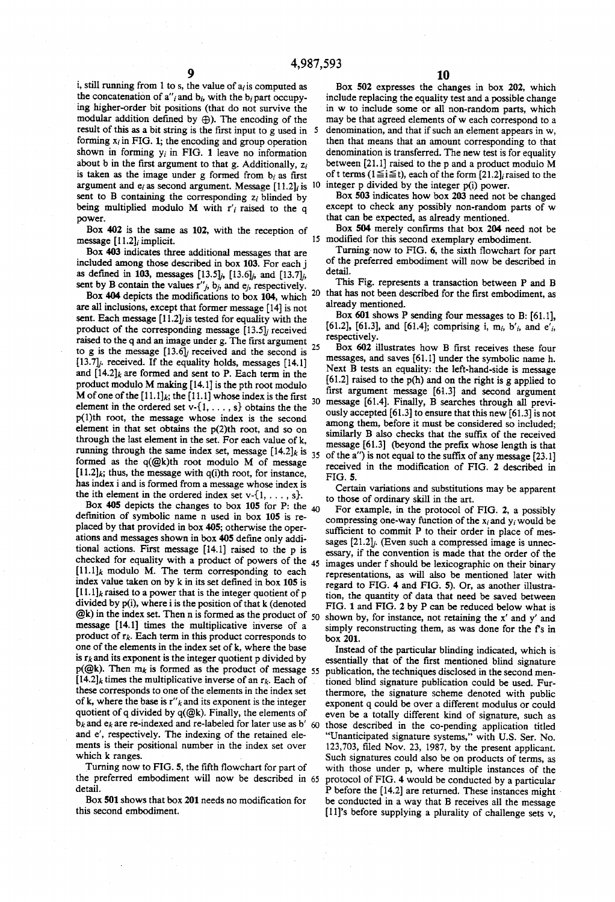i, still running from 1 to s, the value of  $a_i$  is computed as the concatenation of  $a''_i$  and  $b_i$ , with the  $b_i$  part occupying higher-order bit positions (that do not survive the modular addition defined by  $\oplus$ ). The encoding of the result of this as a bit string is the first input to g used in 5 forming  $x_i$  in FIG. 1; the encoding and group operation shown in forming  $y_i$  in FIG. 1 leave no information about  $b$  in the first argument to that g. Additionally,  $z_i$ is taken as the image under g formed from  $b_i$  as first argument and  $e_i$  as second argument. Message [11.2]<sub>i</sub> is <sup>10</sup> integer p divided by the integer p(i) power. sent to  $B$  containing the corresponding  $z_i$  blinded by being multiplied modulo M with  $r_i$  raised to the q power.

Box 402 is the same as 102, with the reception of message  $[11.2]$ ; implicit.

Box 403 indicates three additional messages that are included among those described in box 103. For each j as defined in 103, messages [13.5] $j$ , [13.6] $j$ , and [13.7] $j$ , sent by B contain the values  $r''_i$ ,  $b_i$ , and  $e_i$ , respectively.

are all inclusions, except that former message [14] is not sent. Each message  $[11.2]$  is tested for equality with the product of the corresponding message  $[13.5]$  received raised to the q and an image under g. The first argument 25 to g is the message  $[13.6]$ ; received and the second is [13.7]; received. If the equality holds, messages [14.1] and  $[14.2]_k$  are formed and sent to P. Each term in the product modulo M making [14.1] is the pth root modulo M of one of the  $[11.1]_k$ ; the  $[11.1]$  whose index is the first  $\frac{11.1}{30}$  message [61.4]. Finally, B searches through all previelement in the ordered set  $v$ - $\{1, \ldots, s\}$  obtains the the  $p(1)$ th root, the message whose index is the second element in that set obtains the  $p(2)$ th root, and so on through the last element in the set. For each value of k, running through the same index set, message  $[14.2]_k$  is  $_{35}$ formed as the  $q(\mathcal{Q}k)$ th root modulo M of message  $[11.2]_k$ ; thus, the message with  $q(i)$ th root, for instance, has index i and is formed from a message whose index is the ith element in the ordered index set  $v$ -{1, ..., s}.

Box 405 depicts the changes to box 105 for P: the  $_{40}$ definition of symbolic name n used in box 105 is replaced by that provided in box 405; otherwise the operations and messages shown in box 405 define only additional actions. First message [14.1] raised to the p is checked for equality with a product of powers of the 45  $[11.1]_k$  modulo M. The term corresponding to each index value taken on by k in its set defined in box 105 is  $[11.1]$ <sub>k</sub> raised to a power that is the integer quotient of p divided by p(i), where i is the position of that k (denoted  $@k$ ) in the index set. Then n is formed as the product of 50 shown by, for instance, not retaining the x' and y' and message [14.1] times the multiplicative inverse of a product of  $r_k$ . Each term in this product corresponds to one of the elements in the index set of k, where the base is  $r_k$  and its exponent is the integer quotient p divided by  $p(\textcircled{a}k)$ . Then  $m_k$  is formed as the product of message 55  $[14.2]$ <sub>k</sub> times the multiplicative inverse of an  $r_k$ . Each of these corresponds to one of the elements in the index set of k, where the base is  $r''_k$  and its exponent is the integer quotient of q divided by  $q(\mathcal{Q}k)$ . Finally, the elements of  $b_k$  and  $e_k$  are re-indexed and re-labeled for later use as b' 60 and e', respectively. The indexing of the retained elements is their positional number in the index set over which k ranges.

Turning now to FIG. 5, the fifth flowchart for part of the preferred embodiment will now be described in 65 detail.

Box 501 shows that box 201 needs no modification for this second embodiment.

Box 502 expresses the changes in box 202, which include replacing the equality test and a possible change in w to include some or all non-random parts, which may be that agreed elements of w each correspond to a denomination, and that if such an element appears in w, then that means that an amount corresponding to that denomination is transferred. The new test is for equality between [21.1] raised to the p and a product modulo M of t terms ( $1 \le i \le t$ ), each of the form [21.2], raised to the

Box 503 indicates how box 203 need not be changed except to check any possibly non-random parts of w that can be expected, as already mentioned.

Box 504 merely confirms that box 204 need not be 15 modified for this second exemplary embodiment.

Turning now to FIG. 6, the sixth flowchart for part of the preferred embodiment will now be described in detail.

This Fig. represents a transaction between P and B Box 404 depicts the modifications to box 104, which  $20$  that has not been described for the first embodiment, as already mentioned.

> Box 601 shows P sending four messages to B: [61.1], [61.2], [61.3], and [61.4]; comprising i, m<sub>i</sub>, b'<sub>i</sub>, and e'<sub>i</sub>, respectively.

> Box 602 illustrates how B first receives these four messages, and saves [61.1] under the symbolic name h. Next B tests an equality: the left-hand-side is message [61.2] raised to the p(h) and on the right is g applied to first argument message [61.3] and second argument ously accepted [61.3] to ensure that this new [61.3] is not among them, before it must be considered so included; similarly B also checks that the suffix of the received message [61.3] (beyond the prefix whose length is that of the a'') is not equal to the suffix of any message [23.1] received in the modification of FIG. 2 described in **FIG. 5.**

Certain variations and substitutions may be apparent to those of ordinary skill in the art.

For example, in the protocol of FIG. 2, a possibly compressing one-way function of the  $x_i$  and  $y_i$  would be sufficient to commit P to their order in place of messages [21.2]; (Even such a compressed image is unnecessary, if the convention is made that the order of the images under f should be lexicographic on their binary representations, as will also be mentioned later with regard to FIG. 4 and FIG. 5). Or, as another illustration, the quantity of data that need be saved between FIG. 1 and FIG. 2 by P can be reduced below what is simply reconstructing them, as was done for the f's in box 201.

Instead of the particular blinding indicated, which is essentially that of the first mentioned blind signature publication, the techniques disclosed in the second mentioned blind signature publication could be used. Furthermore, the signature scheme denoted with public exponent q could be over a different modulus or could even be a totally different kind of signature, such as those described in the co-pending application titled "Unanticipated signature systems," with U.S. Ser. No. 123,703, filed Nov. 23, 1987, by the present applicant. Such signatures could also be on products of terms, as with those under p, where multiple instances of the protocol of FIG. 4 would be conducted by a particular P before the [14.2] are returned. These instances might be conducted in a way that B receives all the message [11]'s before supplying a plurality of challenge sets v,